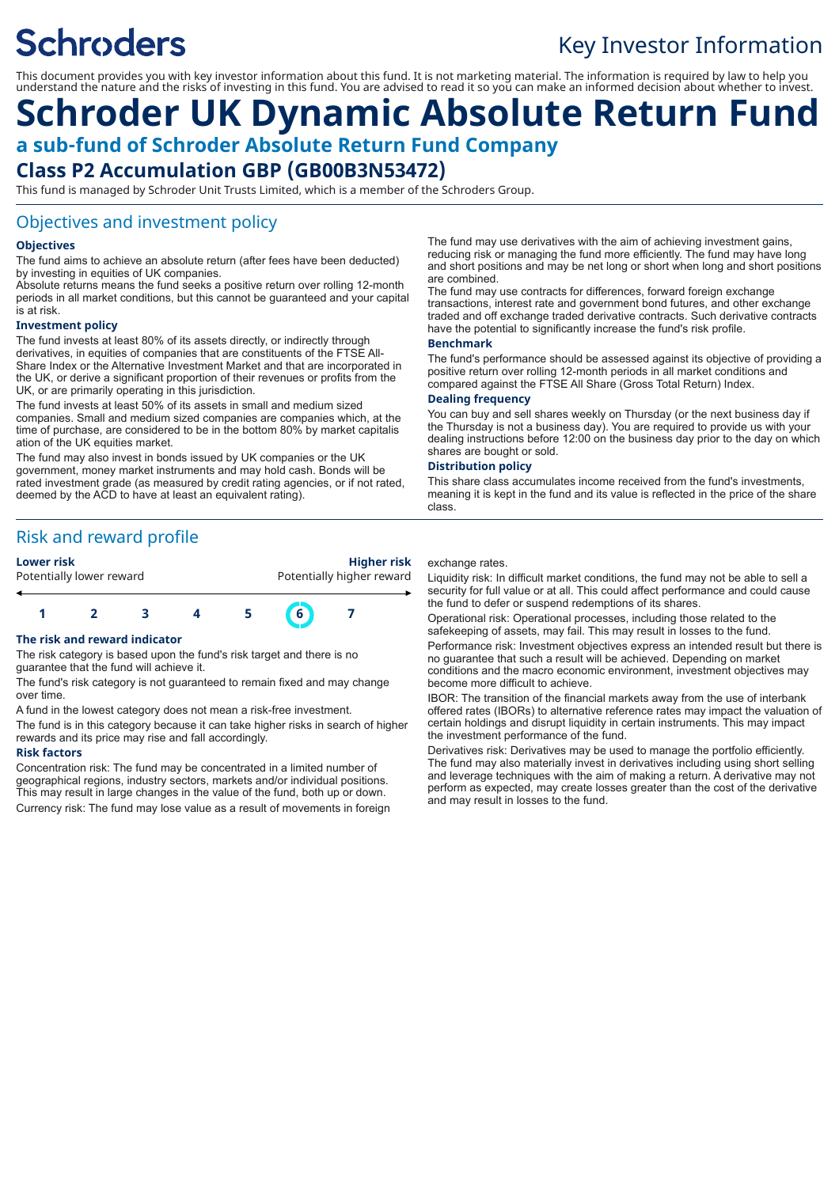# **Schroders**

### Key Investor Information

This document provides you with key investor information about this fund. It is not marketing material. The information is required by law to help you understand the nature and the risks of investing in this fund. You are advised to read it so you can make an informed decision about whether to invest.

## **Schroder UK Dynamic Absolute Return Fund a sub-fund of Schroder Absolute Return Fund Company Class P2 Accumulation GBP (GB00B3N53472)**

This fund is managed by Schroder Unit Trusts Limited, which is a member of the Schroders Group.

#### Objectives and investment policy

#### **Objectives**

The fund aims to achieve an absolute return (after fees have been deducted) by investing in equities of UK companies.

Absolute returns means the fund seeks a positive return over rolling 12-month periods in all market conditions, but this cannot be guaranteed and your capital is at risk.

#### **Investment policy**

The fund invests at least 80% of its assets directly, or indirectly through derivatives, in equities of companies that are constituents of the FTSE All-Share Index or the Alternative Investment Market and that are incorporated in the UK, or derive a significant proportion of their revenues or profits from the UK, or are primarily operating in this jurisdiction.

The fund invests at least 50% of its assets in small and medium sized companies. Small and medium sized companies are companies which, at the time of purchase, are considered to be in the bottom 80% by market capitalis ation of the UK equities market.

The fund may also invest in bonds issued by UK companies or the UK government, money market instruments and may hold cash. Bonds will be rated investment grade (as measured by credit rating agencies, or if not rated, deemed by the ACD to have at least an equivalent rating).

Risk and reward profile

Potentially lower reward **Potentially higher reward** 

**Lower risk Higher risk**



#### **The risk and reward indicator**

The risk category is based upon the fund's risk target and there is no guarantee that the fund will achieve it.

The fund's risk category is not guaranteed to remain fixed and may change over time.

A fund in the lowest category does not mean a risk-free investment.

The fund is in this category because it can take higher risks in search of higher rewards and its price may rise and fall accordingly.

#### **Risk factors**

Concentration risk: The fund may be concentrated in a limited number of geographical regions, industry sectors, markets and/or individual positions. This may result in large changes in the value of the fund, both up or down. Currency risk: The fund may lose value as a result of movements in foreign

The fund may use derivatives with the aim of achieving investment gains, reducing risk or managing the fund more efficiently. The fund may have long and short positions and may be net long or short when long and short positions are combined.

The fund may use contracts for differences, forward foreign exchange transactions, interest rate and government bond futures, and other exchange traded and off exchange traded derivative contracts. Such derivative contracts have the potential to significantly increase the fund's risk profile.

#### **Benchmark**

The fund's performance should be assessed against its objective of providing a positive return over rolling 12-month periods in all market conditions and compared against the FTSE All Share (Gross Total Return) Index.

#### **Dealing frequency**

You can buy and sell shares weekly on Thursday (or the next business day if the Thursday is not a business day). You are required to provide us with your dealing instructions before 12:00 on the business day prior to the day on which shares are bought or sold.

#### **Distribution policy**

This share class accumulates income received from the fund's investments, meaning it is kept in the fund and its value is reflected in the price of the share class.

#### exchange rates.

Liquidity risk: In difficult market conditions, the fund may not be able to sell a security for full value or at all. This could affect performance and could cause the fund to defer or suspend redemptions of its shares.

Operational risk: Operational processes, including those related to the safekeeping of assets, may fail. This may result in losses to the fund. Performance risk: Investment objectives express an intended result but there is no guarantee that such a result will be achieved. Depending on market conditions and the macro economic environment, investment objectives may become more difficult to achieve.

IBOR: The transition of the financial markets away from the use of interbank offered rates (IBORs) to alternative reference rates may impact the valuation of certain holdings and disrupt liquidity in certain instruments. This may impact the investment performance of the fund.

Derivatives risk: Derivatives may be used to manage the portfolio efficiently. The fund may also materially invest in derivatives including using short selling and leverage techniques with the aim of making a return. A derivative may not perform as expected, may create losses greater than the cost of the derivative and may result in losses to the fund.